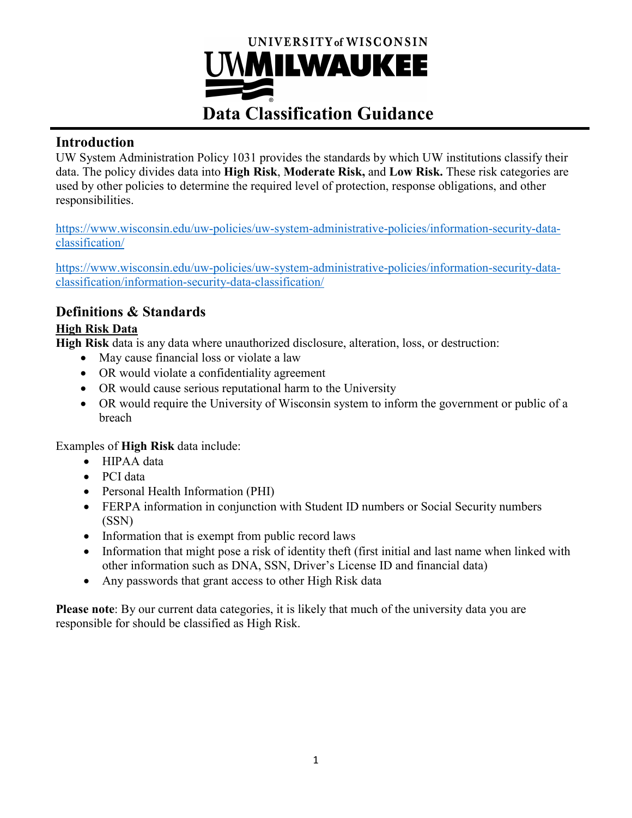

## **Introduction**

UW System Administration Policy 1031 provides the standards by which UW institutions classify their data. The policy divides data into **High Risk**, **Moderate Risk,** and **Low Risk.** These risk categories are used by other policies to determine the required level of protection, response obligations, and other responsibilities.

[https://www.wisconsin.edu/uw-policies/uw-system-administrative-policies/information-security-data](https://www.wisconsin.edu/uw-policies/uw-system-administrative-policies/information-security-data-classification/)[classification/](https://www.wisconsin.edu/uw-policies/uw-system-administrative-policies/information-security-data-classification/)

[https://www.wisconsin.edu/uw-policies/uw-system-administrative-policies/information-security-data](https://www.wisconsin.edu/uw-policies/uw-system-administrative-policies/information-security-data-classification/information-security-data-classification/)[classification/information-security-data-classification/](https://www.wisconsin.edu/uw-policies/uw-system-administrative-policies/information-security-data-classification/information-security-data-classification/)

# **Definitions & Standards**

### **High Risk Data**

**High Risk** data is any data where unauthorized disclosure, alteration, loss, or destruction:

- May cause financial loss or violate a law
- OR would violate a confidentiality agreement
- OR would cause serious reputational harm to the University
- OR would require the University of Wisconsin system to inform the government or public of a breach

Examples of **High Risk** data include:

- HIPAA data
- PCI data
- Personal Health Information (PHI)
- FERPA information in conjunction with Student ID numbers or Social Security numbers (SSN)
- Information that is exempt from public record laws
- Information that might pose a risk of identity theft (first initial and last name when linked with other information such as DNA, SSN, Driver's License ID and financial data)
- Any passwords that grant access to other High Risk data

**Please note**: By our current data categories, it is likely that much of the university data you are responsible for should be classified as High Risk.